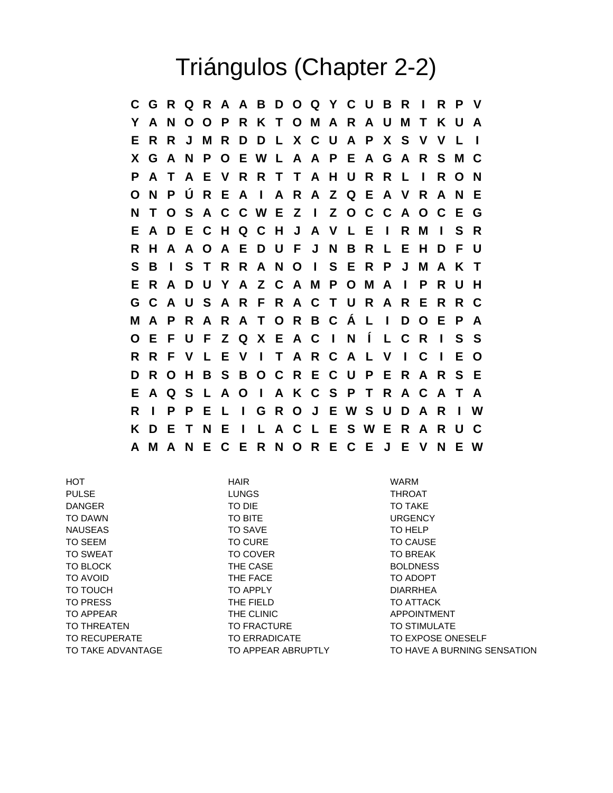## Triángulos (Chapter 2-2)

**C G R Q R A A B D O Q Y C U B R I R P V Y A N O O P R K T O M A R A U M T K U A E R R J M R D D L X C U A P X S V V L I X G A N P O E W L A A P E A G A R S M C P A T A E V R R T T A H U R R L I R O N O N P Ú R E A I A R A Z Q E A V R A N E N T O S A C C W E Z I Z O C C A O C E G E A D E C H Q C H J A V L E I R M I S R R H A A O A E D U F J N B R L E H D F U S B I S T R R A N O I S E R P J M A K T E R A D U Y A Z C A M P O M A I P R U H G C A U S A R F R A C T U R A R E R R C M A P R A R A T O R B C Á L I D O E P A O E F U F Z Q X E A C I N Í L C R I S S R R F V L E V I T A R C A L V I C I E O D R O H B S B O C R E C U P E R A R S E E A Q S L A O I A K C S P T R A C A T A R I P P E L I G R O J E W S U D A R I W K D E T N E I L A C L E S W E R A R U C A M A N E C E R N O R E C E J E V N E W**

HOT HAIR WARM PULSE THROAT THROAT THE LUNGS THE STATE THAN THE SAME THAN THE STATE THAN THE STATE THAN THE STATE THAN THE ST DANGER TO DIE TO TAKE TO DAWN TO BITE TO BITE URGENCY NAUSEAS TO SAVE TO SAVE TO TO HELP TO SEEM TO CURE TO CURE TO CONSE TO SWEAT TO SOVER TO COVER TO SWEAT TO BLOCK THE CASE THE CASE BOLDNESS TO AVOID THE FACE TO ADOPT THE FACE TO TOUCH TO APPLY TO APPLY DIARRHEA TO PRESS THE FIELD TO ATTACK TO APPEAR THE CLINIC TO APPOINTMENT TO THREATEN TO TO FRACTURE TO STIMULATE TO RECUPERATE TO ERRADICATE TO EXPOSE ONESELF TO TAKE ADVANTAGE TO APPEAR ABRUPTLY TO HAVE A BURNING SENSATION